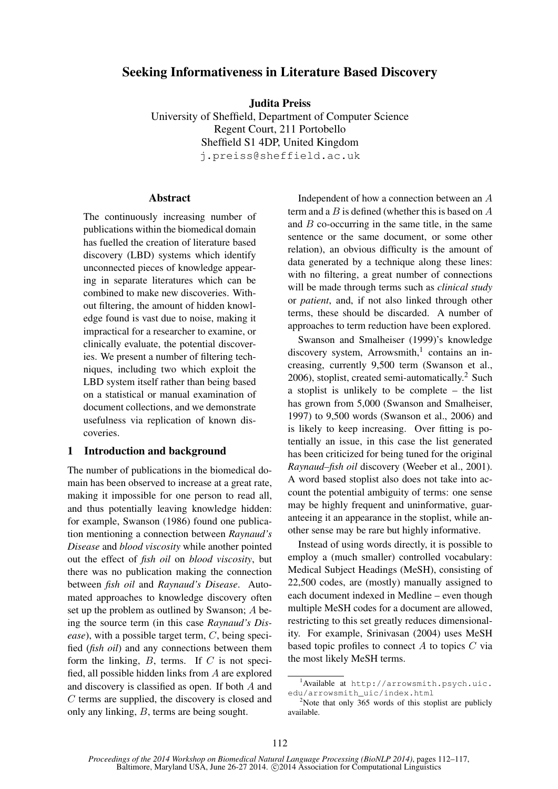# Seeking Informativeness in Literature Based Discovery

Judita Preiss University of Sheffield, Department of Computer Science Regent Court, 211 Portobello Sheffield S1 4DP, United Kingdom j.preiss@sheffield.ac.uk

# **Abstract**

The continuously increasing number of publications within the biomedical domain has fuelled the creation of literature based discovery (LBD) systems which identify unconnected pieces of knowledge appearing in separate literatures which can be combined to make new discoveries. Without filtering, the amount of hidden knowledge found is vast due to noise, making it impractical for a researcher to examine, or clinically evaluate, the potential discoveries. We present a number of filtering techniques, including two which exploit the LBD system itself rather than being based on a statistical or manual examination of document collections, and we demonstrate usefulness via replication of known discoveries.

# 1 Introduction and background

The number of publications in the biomedical domain has been observed to increase at a great rate, making it impossible for one person to read all, and thus potentially leaving knowledge hidden: for example, Swanson (1986) found one publication mentioning a connection between *Raynaud's Disease* and *blood viscosity* while another pointed out the effect of *fish oil* on *blood viscosity*, but there was no publication making the connection between *fish oil* and *Raynaud's Disease*. Automated approaches to knowledge discovery often set up the problem as outlined by Swanson; A being the source term (in this case *Raynaud's Disease*), with a possible target term, C, being specified (*fish oil*) and any connections between them form the linking,  $B$ , terms. If  $C$  is not specified, all possible hidden links from A are explored and discovery is classified as open. If both A and C terms are supplied, the discovery is closed and only any linking, B, terms are being sought.

Independent of how a connection between an A term and a  $B$  is defined (whether this is based on  $A$ and  $B$  co-occurring in the same title, in the same sentence or the same document, or some other relation), an obvious difficulty is the amount of data generated by a technique along these lines: with no filtering, a great number of connections will be made through terms such as *clinical study* or *patient*, and, if not also linked through other terms, these should be discarded. A number of approaches to term reduction have been explored.

Swanson and Smalheiser (1999)'s knowledge discovery system, Arrowsmith,<sup>1</sup> contains an increasing, currently 9,500 term (Swanson et al.,  $2006$ ), stoplist, created semi-automatically.<sup>2</sup> Such a stoplist is unlikely to be complete – the list has grown from 5,000 (Swanson and Smalheiser, 1997) to 9,500 words (Swanson et al., 2006) and is likely to keep increasing. Over fitting is potentially an issue, in this case the list generated has been criticized for being tuned for the original *Raynaud–fish oil* discovery (Weeber et al., 2001). A word based stoplist also does not take into account the potential ambiguity of terms: one sense may be highly frequent and uninformative, guaranteeing it an appearance in the stoplist, while another sense may be rare but highly informative.

Instead of using words directly, it is possible to employ a (much smaller) controlled vocabulary: Medical Subject Headings (MeSH), consisting of 22,500 codes, are (mostly) manually assigned to each document indexed in Medline – even though multiple MeSH codes for a document are allowed, restricting to this set greatly reduces dimensionality. For example, Srinivasan (2004) uses MeSH based topic profiles to connect  $A$  to topics  $C$  via the most likely MeSH terms.

 $1$ Available at http://arrowsmith.psych.uic. edu/arrowsmith\_uic/index.html

 $2^2$ Note that only 365 words of this stoplist are publicly available.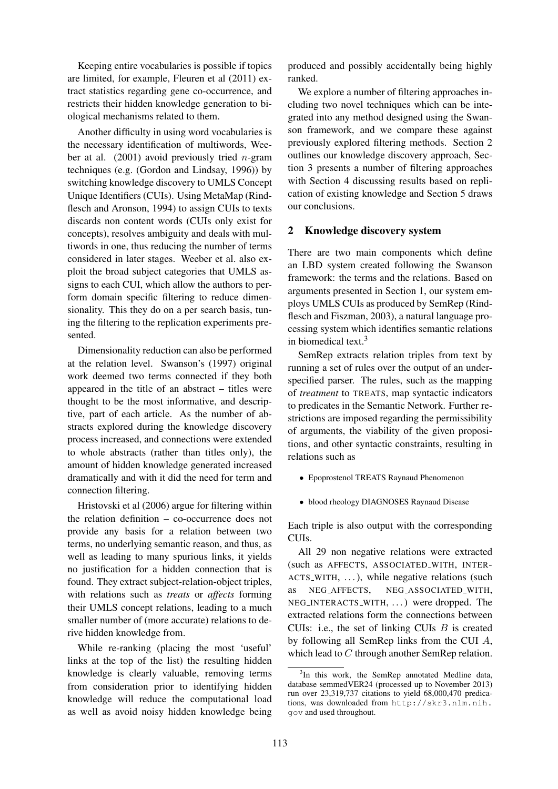Keeping entire vocabularies is possible if topics are limited, for example, Fleuren et al (2011) extract statistics regarding gene co-occurrence, and restricts their hidden knowledge generation to biological mechanisms related to them.

Another difficulty in using word vocabularies is the necessary identification of multiwords, Weeber at al.  $(2001)$  avoid previously tried *n*-gram techniques (e.g. (Gordon and Lindsay, 1996)) by switching knowledge discovery to UMLS Concept Unique Identifiers (CUIs). Using MetaMap (Rindflesch and Aronson, 1994) to assign CUIs to texts discards non content words (CUIs only exist for concepts), resolves ambiguity and deals with multiwords in one, thus reducing the number of terms considered in later stages. Weeber et al. also exploit the broad subject categories that UMLS assigns to each CUI, which allow the authors to perform domain specific filtering to reduce dimensionality. This they do on a per search basis, tuning the filtering to the replication experiments presented.

Dimensionality reduction can also be performed at the relation level. Swanson's (1997) original work deemed two terms connected if they both appeared in the title of an abstract – titles were thought to be the most informative, and descriptive, part of each article. As the number of abstracts explored during the knowledge discovery process increased, and connections were extended to whole abstracts (rather than titles only), the amount of hidden knowledge generated increased dramatically and with it did the need for term and connection filtering.

Hristovski et al (2006) argue for filtering within the relation definition – co-occurrence does not provide any basis for a relation between two terms, no underlying semantic reason, and thus, as well as leading to many spurious links, it yields no justification for a hidden connection that is found. They extract subject-relation-object triples, with relations such as *treats* or *affects* forming their UMLS concept relations, leading to a much smaller number of (more accurate) relations to derive hidden knowledge from.

While re-ranking (placing the most 'useful' links at the top of the list) the resulting hidden knowledge is clearly valuable, removing terms from consideration prior to identifying hidden knowledge will reduce the computational load as well as avoid noisy hidden knowledge being

produced and possibly accidentally being highly ranked.

We explore a number of filtering approaches including two novel techniques which can be integrated into any method designed using the Swanson framework, and we compare these against previously explored filtering methods. Section 2 outlines our knowledge discovery approach, Section 3 presents a number of filtering approaches with Section 4 discussing results based on replication of existing knowledge and Section 5 draws our conclusions.

# 2 Knowledge discovery system

There are two main components which define an LBD system created following the Swanson framework: the terms and the relations. Based on arguments presented in Section 1, our system employs UMLS CUIs as produced by SemRep (Rindflesch and Fiszman, 2003), a natural language processing system which identifies semantic relations in biomedical text. $3$ 

SemRep extracts relation triples from text by running a set of rules over the output of an underspecified parser. The rules, such as the mapping of *treatment* to TREATS, map syntactic indicators to predicates in the Semantic Network. Further restrictions are imposed regarding the permissibility of arguments, the viability of the given propositions, and other syntactic constraints, resulting in relations such as

• Epoprostenol TREATS Raynaud Phenomenon

• blood rheology DIAGNOSES Raynaud Disease

Each triple is also output with the corresponding CUIs.

All 29 non negative relations were extracted (such as AFFECTS, ASSOCIATED WITH, INTER-ACTS\_WITH, ...), while negative relations (such as NEG AFFECTS, NEG ASSOCIATED WITH, NEG INTERACTS WITH, . . . ) were dropped. The extracted relations form the connections between CUIs: i.e., the set of linking CUIs  $B$  is created by following all SemRep links from the CUI A, which lead to C through another SemRep relation.

<sup>&</sup>lt;sup>3</sup>In this work, the SemRep annotated Medline data, database semmedVER24 (processed up to November 2013) run over 23,319,737 citations to yield 68,000,470 predications, was downloaded from http://skr3.nlm.nih. gov and used throughout.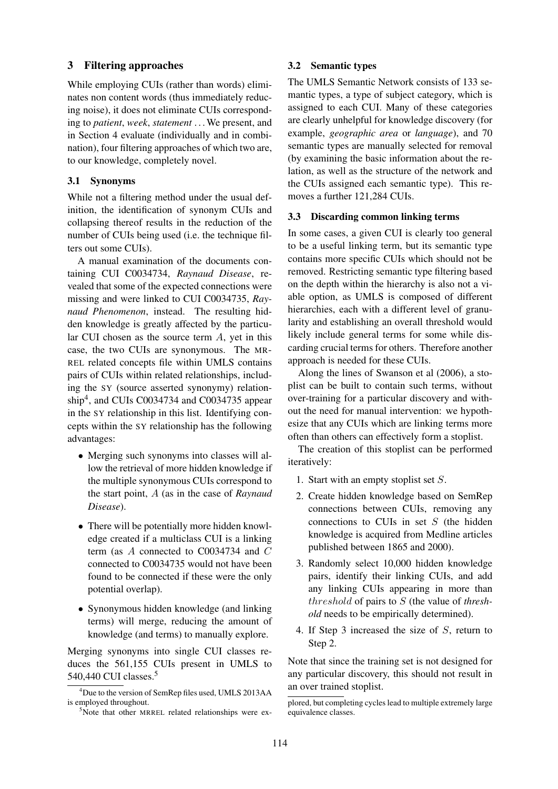### 3 Filtering approaches

While employing CUIs (rather than words) eliminates non content words (thus immediately reducing noise), it does not eliminate CUIs corresponding to *patient*, *week*, *statement* . . . We present, and in Section 4 evaluate (individually and in combination), four filtering approaches of which two are, to our knowledge, completely novel.

# 3.1 Synonyms

While not a filtering method under the usual definition, the identification of synonym CUIs and collapsing thereof results in the reduction of the number of CUIs being used (i.e. the technique filters out some CUIs).

A manual examination of the documents containing CUI C0034734, *Raynaud Disease*, revealed that some of the expected connections were missing and were linked to CUI C0034735, *Raynaud Phenomenon*, instead. The resulting hidden knowledge is greatly affected by the particular CUI chosen as the source term A, yet in this case, the two CUIs are synonymous. The MR-REL related concepts file within UMLS contains pairs of CUIs within related relationships, including the SY (source asserted synonymy) relationship<sup>4</sup>, and CUIs C0034734 and C0034735 appear in the SY relationship in this list. Identifying concepts within the SY relationship has the following advantages:

- Merging such synonyms into classes will allow the retrieval of more hidden knowledge if the multiple synonymous CUIs correspond to the start point, A (as in the case of *Raynaud Disease*).
- There will be potentially more hidden knowledge created if a multiclass CUI is a linking term (as A connected to C0034734 and C connected to C0034735 would not have been found to be connected if these were the only potential overlap).
- Synonymous hidden knowledge (and linking terms) will merge, reducing the amount of knowledge (and terms) to manually explore.

Merging synonyms into single CUI classes reduces the 561,155 CUIs present in UMLS to 540,440 CUI classes.<sup>5</sup>

#### 3.2 Semantic types

The UMLS Semantic Network consists of 133 semantic types, a type of subject category, which is assigned to each CUI. Many of these categories are clearly unhelpful for knowledge discovery (for example, *geographic area* or *language*), and 70 semantic types are manually selected for removal (by examining the basic information about the relation, as well as the structure of the network and the CUIs assigned each semantic type). This removes a further 121,284 CUIs.

#### 3.3 Discarding common linking terms

In some cases, a given CUI is clearly too general to be a useful linking term, but its semantic type contains more specific CUIs which should not be removed. Restricting semantic type filtering based on the depth within the hierarchy is also not a viable option, as UMLS is composed of different hierarchies, each with a different level of granularity and establishing an overall threshold would likely include general terms for some while discarding crucial terms for others. Therefore another approach is needed for these CUIs.

Along the lines of Swanson et al (2006), a stoplist can be built to contain such terms, without over-training for a particular discovery and without the need for manual intervention: we hypothesize that any CUIs which are linking terms more often than others can effectively form a stoplist.

The creation of this stoplist can be performed iteratively:

- 1. Start with an empty stoplist set S.
- 2. Create hidden knowledge based on SemRep connections between CUIs, removing any connections to CUIs in set  $S$  (the hidden knowledge is acquired from Medline articles published between 1865 and 2000).
- 3. Randomly select 10,000 hidden knowledge pairs, identify their linking CUIs, and add any linking CUIs appearing in more than threshold of pairs to S (the value of *threshold* needs to be empirically determined).
- 4. If Step 3 increased the size of S, return to Step 2.

Note that since the training set is not designed for any particular discovery, this should not result in an over trained stoplist.

 $4$ Due to the version of SemRep files used, UMLS 2013AA is employed throughout.

<sup>&</sup>lt;sup>5</sup>Note that other MRREL related relationships were ex-

plored, but completing cycles lead to multiple extremely large equivalence classes.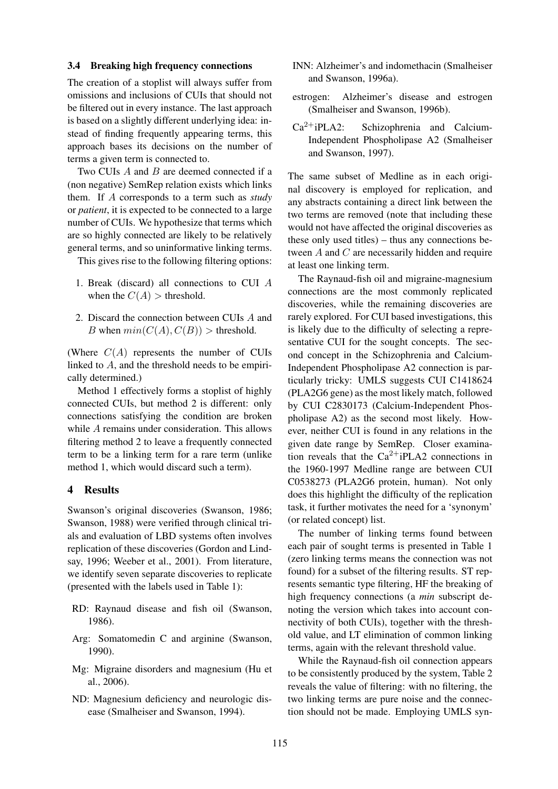#### 3.4 Breaking high frequency connections

The creation of a stoplist will always suffer from omissions and inclusions of CUIs that should not be filtered out in every instance. The last approach is based on a slightly different underlying idea: instead of finding frequently appearing terms, this approach bases its decisions on the number of terms a given term is connected to.

Two CUIs A and B are deemed connected if a (non negative) SemRep relation exists which links them. If A corresponds to a term such as *study* or *patient*, it is expected to be connected to a large number of CUIs. We hypothesize that terms which are so highly connected are likely to be relatively general terms, and so uninformative linking terms.

This gives rise to the following filtering options:

- 1. Break (discard) all connections to CUI A when the  $C(A)$  > threshold.
- 2. Discard the connection between CUIs A and B when  $min(C(A), C(B))$  > threshold.

(Where  $C(A)$  represents the number of CUIs linked to A, and the threshold needs to be empirically determined.)

Method 1 effectively forms a stoplist of highly connected CUIs, but method 2 is different: only connections satisfying the condition are broken while A remains under consideration. This allows filtering method 2 to leave a frequently connected term to be a linking term for a rare term (unlike method 1, which would discard such a term).

#### 4 Results

Swanson's original discoveries (Swanson, 1986; Swanson, 1988) were verified through clinical trials and evaluation of LBD systems often involves replication of these discoveries (Gordon and Lindsay, 1996; Weeber et al., 2001). From literature, we identify seven separate discoveries to replicate (presented with the labels used in Table 1):

- RD: Raynaud disease and fish oil (Swanson, 1986).
- Arg: Somatomedin C and arginine (Swanson, 1990).
- Mg: Migraine disorders and magnesium (Hu et al., 2006).
- ND: Magnesium deficiency and neurologic disease (Smalheiser and Swanson, 1994).
- INN: Alzheimer's and indomethacin (Smalheiser and Swanson, 1996a).
- estrogen: Alzheimer's disease and estrogen (Smalheiser and Swanson, 1996b).
- Ca2+iPLA2: Schizophrenia and Calcium-Independent Phospholipase A2 (Smalheiser and Swanson, 1997).

The same subset of Medline as in each original discovery is employed for replication, and any abstracts containing a direct link between the two terms are removed (note that including these would not have affected the original discoveries as these only used titles) – thus any connections between A and C are necessarily hidden and require at least one linking term.

The Raynaud-fish oil and migraine-magnesium connections are the most commonly replicated discoveries, while the remaining discoveries are rarely explored. For CUI based investigations, this is likely due to the difficulty of selecting a representative CUI for the sought concepts. The second concept in the Schizophrenia and Calcium-Independent Phospholipase A2 connection is particularly tricky: UMLS suggests CUI C1418624 (PLA2G6 gene) as the most likely match, followed by CUI C2830173 (Calcium-Independent Phospholipase A2) as the second most likely. However, neither CUI is found in any relations in the given date range by SemRep. Closer examination reveals that the  $Ca^{2+}iPLA2$  connections in the 1960-1997 Medline range are between CUI C0538273 (PLA2G6 protein, human). Not only does this highlight the difficulty of the replication task, it further motivates the need for a 'synonym' (or related concept) list.

The number of linking terms found between each pair of sought terms is presented in Table 1 (zero linking terms means the connection was not found) for a subset of the filtering results. ST represents semantic type filtering, HF the breaking of high frequency connections (a *min* subscript denoting the version which takes into account connectivity of both CUIs), together with the threshold value, and LT elimination of common linking terms, again with the relevant threshold value.

While the Raynaud-fish oil connection appears to be consistently produced by the system, Table 2 reveals the value of filtering: with no filtering, the two linking terms are pure noise and the connection should not be made. Employing UMLS syn-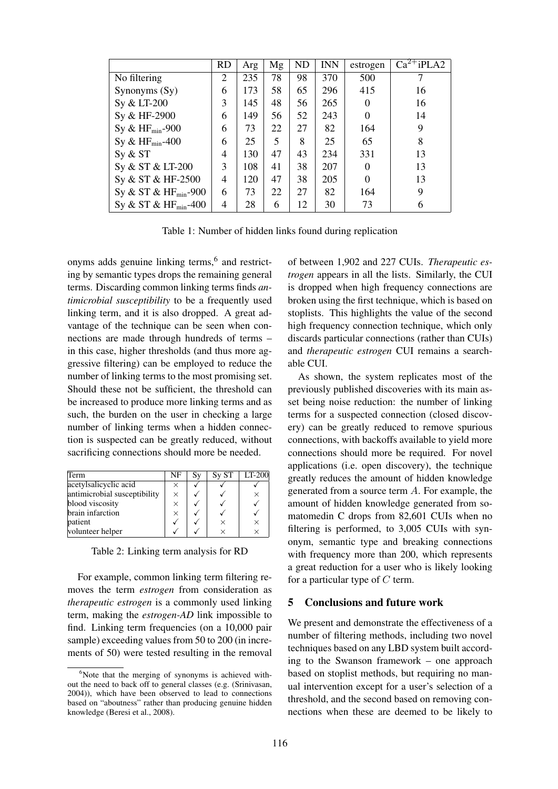|                           | <b>RD</b> | Arg | Mg | ND | <b>INN</b> | estrogen | $Ca^{2+}iPLA2$ |
|---------------------------|-----------|-----|----|----|------------|----------|----------------|
| No filtering              | 2         | 235 | 78 | 98 | 370        | 500      |                |
| Synonyms (Sy)             | 6         | 173 | 58 | 65 | 296        | 415      | 16             |
| Sy & LT-200               | 3         | 145 | 48 | 56 | 265        | $\theta$ | 16             |
| Sy & HF-2900              | 6         | 149 | 56 | 52 | 243        | $\Omega$ | 14             |
| Sy & $HF_{min}$ -900      | 6         | 73  | 22 | 27 | 82         | 164      | 9              |
| Sy & $HF_{min}$ -400      | 6         | 25  | 5  | 8  | 25         | 65       | 8              |
| Sy & ST                   | 4         | 130 | 47 | 43 | 234        | 331      | 13             |
| Sy & ST & LT-200          | 3         | 108 | 41 | 38 | 207        | $\theta$ | 13             |
| Sy & ST & HF-2500         | 4         | 120 | 47 | 38 | 205        | $\theta$ | 13             |
| Sy & ST & $HF_{min}$ -900 | 6         | 73  | 22 | 27 | 82         | 164      | 9              |
| Sy & ST & $HF_{min}$ -400 | 4         | 28  | 6  | 12 | 30         | 73       | 6              |

Table 1: Number of hidden links found during replication

onyms adds genuine linking terms,<sup>6</sup> and restricting by semantic types drops the remaining general terms. Discarding common linking terms finds *antimicrobial susceptibility* to be a frequently used linking term, and it is also dropped. A great advantage of the technique can be seen when connections are made through hundreds of terms – in this case, higher thresholds (and thus more aggressive filtering) can be employed to reduce the number of linking terms to the most promising set. Should these not be sufficient, the threshold can be increased to produce more linking terms and as such, the burden on the user in checking a large number of linking terms when a hidden connection is suspected can be greatly reduced, without sacrificing connections should more be needed.

| Term                         | NF       | Sv | S <sub>V</sub> ST | I T-200  |
|------------------------------|----------|----|-------------------|----------|
| acetylsalicyclic acid        | ×        |    |                   |          |
| antimicrobial susceptibility | $\times$ |    |                   | $\times$ |
| blood viscosity              | $\times$ |    |                   |          |
| brain infarction             | $\times$ |    |                   |          |
| patient                      |          |    | ×                 | $\times$ |
| volunteer helper             |          |    |                   | $\times$ |

Table 2: Linking term analysis for RD

For example, common linking term filtering removes the term *estrogen* from consideration as *therapeutic estrogen* is a commonly used linking term, making the *estrogen-AD* link impossible to find. Linking term frequencies (on a 10,000 pair sample) exceeding values from 50 to 200 (in increments of 50) were tested resulting in the removal of between 1,902 and 227 CUIs. *Therapeutic estrogen* appears in all the lists. Similarly, the CUI is dropped when high frequency connections are broken using the first technique, which is based on stoplists. This highlights the value of the second high frequency connection technique, which only discards particular connections (rather than CUIs) and *therapeutic estrogen* CUI remains a searchable CUI.

As shown, the system replicates most of the previously published discoveries with its main asset being noise reduction: the number of linking terms for a suspected connection (closed discovery) can be greatly reduced to remove spurious connections, with backoffs available to yield more connections should more be required. For novel applications (i.e. open discovery), the technique greatly reduces the amount of hidden knowledge generated from a source term A. For example, the amount of hidden knowledge generated from somatomedin C drops from 82,601 CUIs when no filtering is performed, to 3,005 CUIs with synonym, semantic type and breaking connections with frequency more than 200, which represents a great reduction for a user who is likely looking for a particular type of  $C$  term.

# 5 Conclusions and future work

We present and demonstrate the effectiveness of a number of filtering methods, including two novel techniques based on any LBD system built according to the Swanson framework – one approach based on stoplist methods, but requiring no manual intervention except for a user's selection of a threshold, and the second based on removing connections when these are deemed to be likely to

 $6$ Note that the merging of synonyms is achieved without the need to back off to general classes (e.g. (Srinivasan, 2004)), which have been observed to lead to connections based on "aboutness" rather than producing genuine hidden knowledge (Beresi et al., 2008).